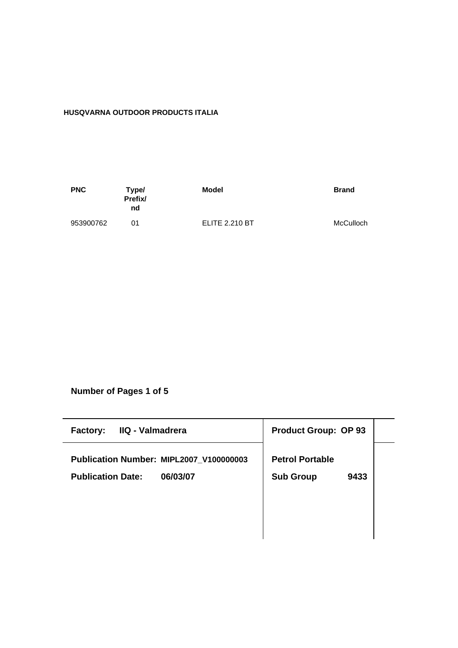# **HUSQVARNA OUTDOOR PRODUCTS ITALIA**

| <b>PNC</b> | Type/<br>Prefix/<br>nd | Model                 | <b>Brand</b> |
|------------|------------------------|-----------------------|--------------|
| 953900762  | ሰ1                     | <b>ELITE 2.210 BT</b> | McCulloch    |

**Number of Pages 1 of 5**

| <b>Product Group: OP 93</b> |
|-----------------------------|
| <b>Petrol Portable</b>      |
| <b>Sub Group</b><br>9433    |
|                             |
|                             |
|                             |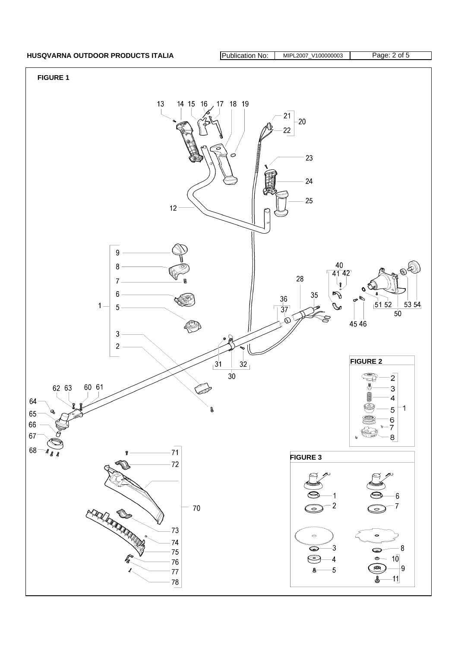## HUSQVARNA OUTDOOR PRODUCTS ITALIA **Publication No: MIPL2007\_V100000003** Page: 2 of 5

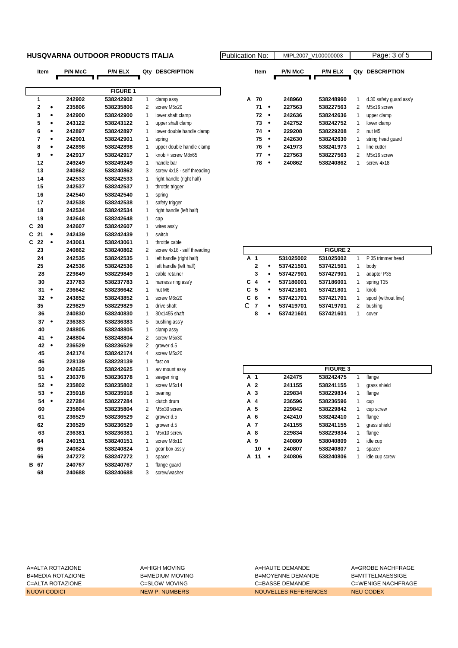### **HUSQVARNA OUTDOOR PRODUCTS ITALIA Publication No: Publication No: AIRL2007**

|      | Item                    |           | <b>P/N McC</b> | <b>P/N ELX</b>  | Qty            | <b>DESCRIPTION</b>          |   | Item                    |           | <b>P/N McC</b> | <b>P/N ELX</b>  | Qty          | <b>DESCRIPTION</b>      |
|------|-------------------------|-----------|----------------|-----------------|----------------|-----------------------------|---|-------------------------|-----------|----------------|-----------------|--------------|-------------------------|
|      |                         |           |                |                 |                |                             |   |                         |           |                |                 |              |                         |
|      |                         |           |                | <b>FIGURE 1</b> |                |                             |   |                         |           |                |                 |              |                         |
| 1    |                         |           | 242902         | 538242902       | 1              | clamp assy                  | Α | 70                      |           | 248960         | 538248960       | 1            | d.30 safety guard ass'y |
|      | $\overline{\mathbf{2}}$ | ٠         | 235806         | 538235806       | 2              | screw M5x20                 |   | 71                      | $\bullet$ | 227563         | 538227563       | 2            | M5x16 screw             |
|      | 3                       | $\bullet$ | 242900         | 538242900       | 1              | lower shaft clamp           |   | 72                      | $\bullet$ | 242636         | 538242636       | 1            | upper clamp             |
|      | 5                       | ٠         | 243122         | 538243122       | 1              | upper shaft clamp           |   | 73                      | $\bullet$ | 242752         | 538242752       | 1            | lower clamp             |
|      | 6                       | ۰         | 242897         | 538242897       | 1              | lower double handle clamp   |   | 74                      | $\bullet$ | 229208         | 538229208       | 2            | nut M5                  |
| 7    |                         | ٠         | 242901         | 538242901       | 1              | spring                      |   | 75                      | $\bullet$ | 242630         | 538242630       | 1            | string head guard       |
|      | 8                       | ٠         | 242898         | 538242898       | 1              | upper double handle clamp   |   | 76                      | $\bullet$ | 241973         | 538241973       | 1            | line cutter             |
|      | 9                       | $\bullet$ | 242917         | 538242917       | 1              | knob + screw M8x65          |   | 77                      | $\bullet$ | 227563         | 538227563       | 2            | M5x16 screw             |
|      | 12                      |           | 249249         | 538249249       | 1              | handle bar                  |   | 78                      | $\bullet$ | 240862         | 538240862       | $\mathbf{1}$ | screw 4x18              |
|      | 13                      |           | 240862         | 538240862       | 3              | screw 4x18 - self threading |   |                         |           |                |                 |              |                         |
|      | 14                      |           | 242533         | 538242533       | 1              | right handle (right half)   |   |                         |           |                |                 |              |                         |
|      | 15                      |           | 242537         | 538242537       | 1              | throttle trigger            |   |                         |           |                |                 |              |                         |
|      | 16                      |           | 242540         | 538242540       | 1              | spring                      |   |                         |           |                |                 |              |                         |
|      | 17                      |           | 242538         | 538242538       | 1              | safety trigger              |   |                         |           |                |                 |              |                         |
|      | 18                      |           | 242534         | 538242534       | 1              | right handle (left half)    |   |                         |           |                |                 |              |                         |
|      | 19                      |           | 242648         | 538242648       | 1              | cap                         |   |                         |           |                |                 |              |                         |
| C    | 20                      |           | 242607         | 538242607       | 1              | wires ass'y                 |   |                         |           |                |                 |              |                         |
| С    | 21                      | ٠         | 242439         | 538242439       | 1              | switch                      |   |                         |           |                |                 |              |                         |
| C    | 22                      | $\bullet$ | 243061         | 538243061       | 1              | throttle cable              |   |                         |           |                |                 |              |                         |
|      | 23                      |           | 240862         | 538240862       | 2              | screw 4x18 - self threading |   |                         |           |                | <b>FIGURE 2</b> |              |                         |
|      | 24                      |           | 242535         | 538242535       | 1              | left handle (right half)    |   | A 1                     |           | 531025002      | 531025002       | 1            | P 35 trimmer head       |
|      | 25                      |           | 242536         | 538242536       | 1              | left handle (left half)     |   | $\mathbf 2$             | $\bullet$ | 537421501      | 537421501       | 1            | body                    |
|      | 28                      |           | 229849         | 538229849       | 1              | cable retainer              |   | 3                       | $\bullet$ | 537427901      | 537427901       | 1            | adapter P35             |
|      | 30                      |           | 237783         | 538237783       | 1              | harness ring ass'y          | С | $\overline{\mathbf{4}}$ | $\bullet$ | 537186001      | 537186001       | 1            | spring T35              |
|      | 31                      | ٠         | 236642         | 538236642       | 1              | nut M6                      |   | C <sub>5</sub>          | $\bullet$ | 537421801      | 537421801       | 1            | knob                    |
|      | 32                      | $\bullet$ | 243852         | 538243852       | 1              | screw M6x20                 | C | 6                       | ٠         | 537421701      | 537421701       | 1            | spool (without line)    |
|      | 35                      |           | 229829         | 538229829       | 1              | drive shaft                 | C | $\overline{7}$          | ٠         | 537419701      | 537419701       | 2            | bushing                 |
|      | 36                      |           | 240830         | 538240830       | 1              | 30x1455 shaft               |   | 8                       |           | 537421601      | 537421601       | 1            | cover                   |
|      | 37                      | $\bullet$ | 236383         | 538236383       | 5              | bushing ass'y               |   |                         |           |                |                 |              |                         |
|      | 40                      |           | 248805         | 538248805       | 1              | clamp assy                  |   |                         |           |                |                 |              |                         |
|      | 41                      | $\bullet$ | 248804         | 538248804       | 2              | screw M5x30                 |   |                         |           |                |                 |              |                         |
|      | 42                      | $\bullet$ | 236529         | 538236529       | 2              | grower d.5                  |   |                         |           |                |                 |              |                         |
|      | 45                      |           | 242174         | 538242174       | 4              | screw M5x20                 |   |                         |           |                |                 |              |                         |
|      | 46                      |           | 228139         | 538228139       | 1              | fast on                     |   |                         |           |                |                 |              |                         |
|      | 50                      |           | 242625         | 538242625       | 1              | a/v mount assy              |   |                         |           |                | <b>FIGURE 3</b> |              |                         |
|      | 51                      | $\bullet$ | 236378         | 538236378       | 1              | seeger ring                 |   | A 1                     |           | 242475         | 538242475       | 1            | flange                  |
|      | 52                      | $\bullet$ | 235802         | 538235802       | 1              | screw M5x14                 |   | A 2                     |           | 241155         | 538241155       | 1            | grass shield            |
|      | 53                      | $\bullet$ | 235918         | 538235918       | 1              | bearing                     | A | 3                       |           | 229834         | 538229834       | 1            | flange                  |
|      | 54                      | $\bullet$ | 227284         | 538227284       | 1              | clutch drum                 |   | A 4                     |           | 236596         | 538236596       | 1            | cup                     |
|      | 60                      |           | 235804         | 538235804       | $\overline{2}$ | M5x30 screw                 | A | 5                       |           | 229842         | 538229842       | 1            | cup screw               |
|      | 61                      |           | 236529         | 538236529       | 2              | grower d.5                  |   | A 6                     |           | 242410         | 538242410       | 1            | flange                  |
|      | 62                      |           | 236529         | 538236529       | 1              | grower d.5                  |   | A 7                     |           | 241155         | 538241155       | 1            | grass shield            |
|      | 63                      |           | 236381         | 538236381       | 1              | M5x10 screw                 |   | A 8                     |           | 229834         | 538229834       | 1            | flange                  |
|      | 64                      |           | 240151         | 538240151       | 1              | screw M8x10                 |   | A 9                     |           | 240809         | 538040809       | 1            | idle cup                |
|      | 65                      |           | 240824         | 538240824       | 1              | gear box ass'y              |   | 10                      | $\bullet$ | 240807         | 538240807       | 1            | spacer                  |
|      | 66                      |           | 247272         | 538247272       | 1              | spacer                      |   | A 11                    | $\bullet$ | 240806         | 538240806       | 1            | idle cup screw          |
| B 67 |                         |           | 240767         | 538240767       | 1              | flange guard                |   |                         |           |                |                 |              |                         |
|      | 68                      |           | 240688         | 538240688       | 3              | screw/washer                |   |                         |           |                |                 |              |                         |

|   | ation No: |           |                | MIPL2007 V100000003 |                | Page: 3 of 5            |
|---|-----------|-----------|----------------|---------------------|----------------|-------------------------|
|   | ltem      |           | <b>P/N McC</b> | <b>P/N ELX</b>      | Qtv            | <b>DESCRIPTION</b>      |
|   |           |           |                |                     |                |                         |
| A | 70        |           | 248960         | 538248960           | 1              | d.30 safety guard ass'y |
|   | 71        | $\bullet$ | 227563         | 538227563           | 2              | M5x16 screw             |
|   | 72        | ٠         | 242636         | 538242636           | 1              | upper clamp             |
|   | 73        | ٠         | 242752         | 538242752           | 1              | lower clamp             |
|   | 74        |           | 229208         | 538229208           | $\overline{2}$ | nut M <sub>5</sub>      |
|   | 75        | $\bullet$ | 242630         | 538242630           | 1              | string head quard       |
|   | 76        |           | 241973         | 538241973           | 1              | line cutter             |
|   | 77        |           | 227563         | 538227563           | 2              | M5x16 screw             |
|   | 78        |           | 240862         | 538240862           | 1              | screw 4x18              |
|   |           |           |                |                     |                |                         |

|   |                |           |           | <b>FIGURE 2</b> |   |                      |
|---|----------------|-----------|-----------|-----------------|---|----------------------|
|   | A 1            |           | 531025002 | 531025002       |   | P 35 trimmer head    |
|   | 2              | ٠         | 537421501 | 537421501       | 1 | body                 |
|   | 3              | ٠         | 537427901 | 537427901       | 1 | adapter P35          |
|   | C 4            | ٠         | 537186001 | 537186001       | 1 | spring T35           |
|   | C 5            | ٠         | 537421801 | 537421801       |   | knob                 |
|   | C <sub>6</sub> | ٠         | 537421701 | 537421701       |   | spool (without line) |
| C | -7             | $\bullet$ | 537419701 | 537419701       | 2 | bushing              |
|   | 8              | ٠         | 537421601 | 537421601       |   | cover                |

|     |     |           |        | <b>FIGURE 3</b> |   |                |
|-----|-----|-----------|--------|-----------------|---|----------------|
| A 1 |     |           | 242475 | 538242475       | 1 | flange         |
| A 2 |     |           | 241155 | 538241155       | 1 | grass shield   |
| A 3 |     |           | 229834 | 538229834       | 1 | flange         |
| A 4 |     |           | 236596 | 538236596       | 1 | cup            |
| A 5 |     |           | 229842 | 538229842       | 1 | cup screw      |
| А   | - 6 |           | 242410 | 538242410       | 1 | flange         |
| A 7 |     |           | 241155 | 538241155       | 1 | grass shield   |
| A 8 |     |           | 229834 | 538229834       | 1 | flange         |
| A   | 9   |           | 240809 | 538040809       | 1 | idle cup       |
|     | 10  | $\bullet$ | 240807 | 538240807       | 1 | spacer         |
| А   | 11  | ٠         | 240806 | 538240806       | 1 | idle cup screw |

A=ALTA ROTAZIONE A=HIGH MOVING A=HAUTE DEMANDE A=GROBE NACHFRAGE B=MEDIA ROTAZIONE B=MEDIUM MOVING B=MOYENNE DEMANDE B=MITTELMAESSIGE C=ALTA ROTAZIONE C=SLOW MOVING C=BASSE DEMANDE C=WENIGE NACHFRAGE NUOVI CODICI NEW P. NUMBERS NOUVELLES REFERENCES NEU CODEX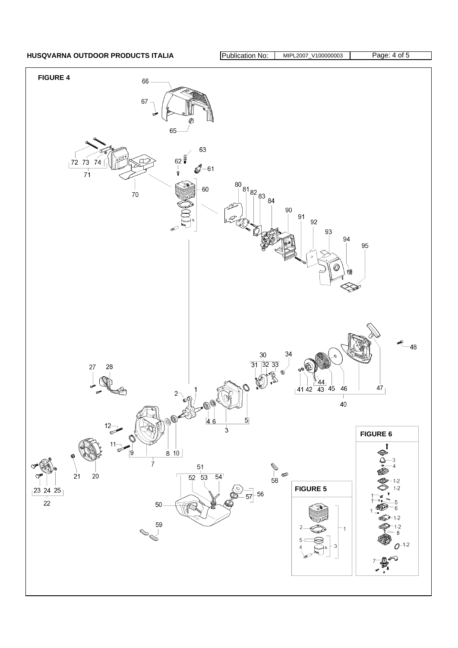HUSQVARNA OUTDOOR PRODUCTS ITALIA **Publication No: MIPL2007\_V100000003** Page: 4 of 5